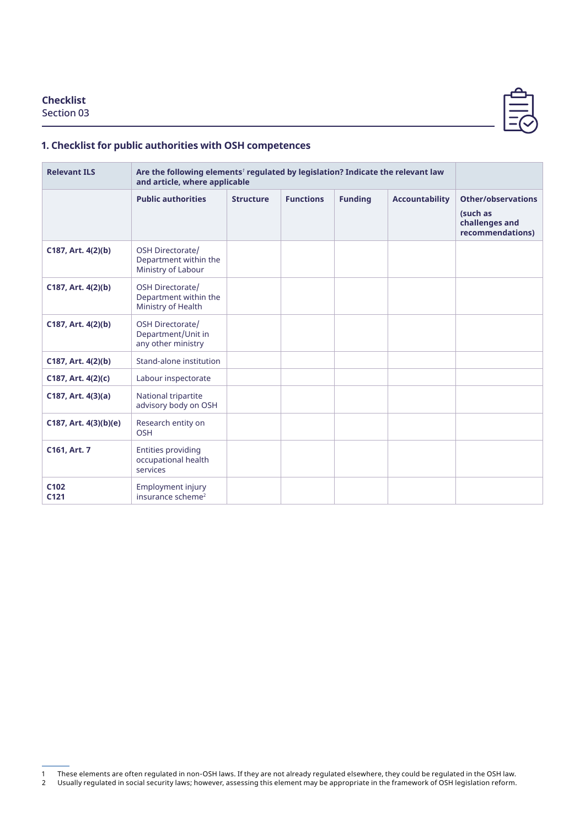## **Checklist**

Section 03



## **1. Checklist for public authorities with OSH competences**

| <b>Relevant ILS</b>                  | Are the following elements <sup>1</sup> regulated by legislation? Indicate the relevant law<br>and article, where applicable |                  |                  |                |                       |                                                                      |
|--------------------------------------|------------------------------------------------------------------------------------------------------------------------------|------------------|------------------|----------------|-----------------------|----------------------------------------------------------------------|
|                                      | <b>Public authorities</b>                                                                                                    | <b>Structure</b> | <b>Functions</b> | <b>Funding</b> | <b>Accountability</b> | Other/observations<br>(such as<br>challenges and<br>recommendations) |
| C187, Art. 4(2)(b)                   | OSH Directorate/<br>Department within the<br>Ministry of Labour                                                              |                  |                  |                |                       |                                                                      |
| C187, Art. 4(2)(b)                   | OSH Directorate/<br>Department within the<br>Ministry of Health                                                              |                  |                  |                |                       |                                                                      |
| C187, Art. 4(2)(b)                   | OSH Directorate/<br>Department/Unit in<br>any other ministry                                                                 |                  |                  |                |                       |                                                                      |
| C187, Art. 4(2)(b)                   | Stand-alone institution                                                                                                      |                  |                  |                |                       |                                                                      |
| C187, Art. 4(2)(c)                   | Labour inspectorate                                                                                                          |                  |                  |                |                       |                                                                      |
| C187, Art. 4(3)(a)                   | National tripartite<br>advisory body on OSH                                                                                  |                  |                  |                |                       |                                                                      |
| $C187$ , Art. $4(3)(b)(e)$           | Research entity on<br><b>OSH</b>                                                                                             |                  |                  |                |                       |                                                                      |
| C161, Art. 7                         | <b>Entities providing</b><br>occupational health<br>services                                                                 |                  |                  |                |                       |                                                                      |
| C <sub>102</sub><br>C <sub>121</sub> | <b>Employment injury</b><br>insurance scheme <sup>2</sup>                                                                    |                  |                  |                |                       |                                                                      |

<sup>1</sup> These elements are often regulated in non-OSH laws. If they are not already regulated elsewhere, they could be regulated in the OSH law.

<sup>2</sup> Usually regulated in social security laws; however, assessing this element may be appropriate in the framework of OSH legislation reform.